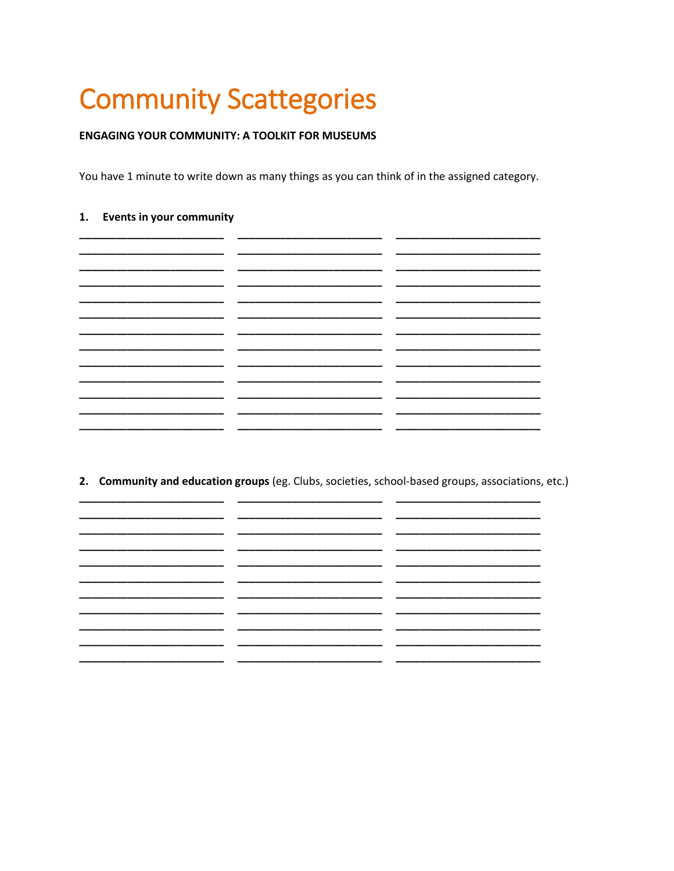# **Community Scattegories**

## **ENGAGING YOUR COMMUNITY: A TOOLKIT FOR MUSEUMS**

You have 1 minute to write down as many things as you can think of in the assigned category.

## 1. Events in your community

|  | ______            |
|--|-------------------|
|  |                   |
|  | _________         |
|  |                   |
|  |                   |
|  | ________________  |
|  | _________________ |
|  | _________         |
|  |                   |
|  |                   |
|  | _____________     |
|  | _________         |
|  |                   |
|  |                   |

2. Community and education groups (eg. Clubs, societies, school-based groups, associations, etc.)